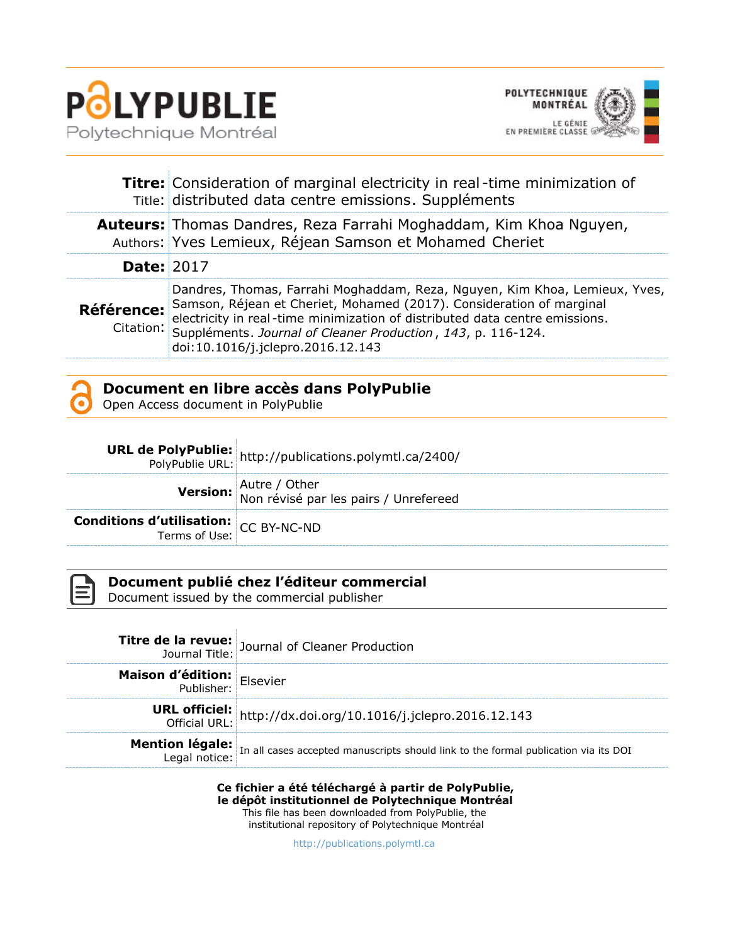



|                   | <b>Titre:</b> Consideration of marginal electricity in real-time minimization of<br>Title: distributed data centre emissions. Suppléments                                                                                                                                                                                                        |
|-------------------|--------------------------------------------------------------------------------------------------------------------------------------------------------------------------------------------------------------------------------------------------------------------------------------------------------------------------------------------------|
|                   | <b>Auteurs:</b> Thomas Dandres, Reza Farrahi Moghaddam, Kim Khoa Nguyen,<br>Authors: Yves Lemieux, Réjean Samson et Mohamed Cheriet                                                                                                                                                                                                              |
| <b>Date: 2017</b> |                                                                                                                                                                                                                                                                                                                                                  |
| <b>Référence:</b> | Dandres, Thomas, Farrahi Moghaddam, Reza, Nguyen, Kim Khoa, Lemieux, Yves,<br>Samson, Réjean et Cheriet, Mohamed (2017). Consideration of marginal<br>electricity in real-time minimization of distributed data centre emissions.<br>Citation: Suppléments. Journal of Cleaner Production, 143, p. 116-124.<br>doi:10.1016/j.jclepro.2016.12.143 |



Open Access document in PolyPublie

|                                                               | <b>URL de PolyPublie:</b> http://publications.polymtl.ca/2400/<br>PolyPublie URL: http://publications.polymtl.ca/2400/ |
|---------------------------------------------------------------|------------------------------------------------------------------------------------------------------------------------|
|                                                               | <b>Version:</b> Autre / Other<br>Non révisé par les pairs / Unrefereed                                                 |
| <b>Conditions d'utilisation:</b><br>Terms of Use: CC BY-NC-ND |                                                                                                                        |



#### **Document publié chez l'éditeur commercial**

Document issued by the commercial publisher

|                                   | <b>Titre de la revue:</b> Journal of Cleaner Production                                                                     |
|-----------------------------------|-----------------------------------------------------------------------------------------------------------------------------|
| <b>Maison d'édition:</b> Elsevier |                                                                                                                             |
|                                   | <b>URL officiel:</b> http://dx.doi.org/10.1016/j.jclepro.2016.12.143                                                        |
|                                   | <b>Mention légale:</b><br>Legal notice: In all cases accepted manuscripts should link to the formal publication via its DOI |

**Ce fichier a été téléchargé à partir de PolyPublie, le dépôt institutionnel de Polytechnique Montréal** This file has been downloaded from PolyPublie, the institutional repository of Polytechnique Montréal

[http://publications.polymtl.ca](http://publications.polymtl.ca/)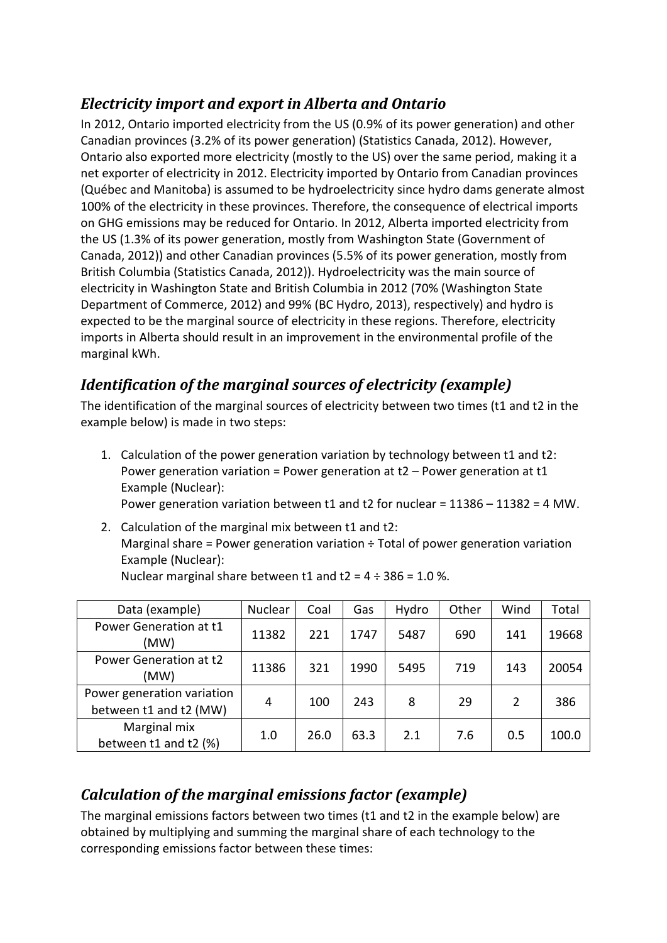#### *Electricity import and export in Alberta and Ontario*

In 2012, Ontario imported electricity from the US (0.9% of its power generation) and other Canadian provinces (3.2% of its power generation) (Statistics Canada, 2012). However, Ontario also exported more electricity (mostly to the US) over the same period, making it a net exporter of electricity in 2012. Electricity imported by Ontario from Canadian provinces (Québec and Manitoba) is assumed to be hydroelectricity since hydro dams generate almost 100% of the electricity in these provinces. Therefore, the consequence of electrical imports on GHG emissions may be reduced for Ontario. In 2012, Alberta imported electricity from the US (1.3% of its power generation, mostly from Washington State (Government of Canada, 2012)) and other Canadian provinces (5.5% of its power generation, mostly from British Columbia (Statistics Canada, 2012)). Hydroelectricity was the main source of electricity in Washington State and British Columbia in 2012 (70% (Washington State Department of Commerce, 2012) and 99% (BC Hydro, 2013), respectively) and hydro is expected to be the marginal source of electricity in these regions. Therefore, electricity imports in Alberta should result in an improvement in the environmental profile of the marginal kWh.

## *Identification of the marginal sources of electricity (example)*

The identification of the marginal sources of electricity between two times (t1 and t2 in the example below) is made in two steps:

- 1. Calculation of the power generation variation by technology between t1 and t2: Power generation variation = Power generation at t2 – Power generation at t1 Example (Nuclear): Power generation variation between t1 and t2 for nuclear = 11386 – 11382 = 4 MW.
- 2. Calculation of the marginal mix between t1 and t2: Marginal share = Power generation variation  $\div$  Total of power generation variation Example (Nuclear): Nuclear marginal share between t1 and t2 =  $4 \div 386 = 1.0$  %.

| Data (example)                                       | Nuclear | Coal | Gas  | Hydro | Other | Wind | Total |
|------------------------------------------------------|---------|------|------|-------|-------|------|-------|
| Power Generation at t1<br>(MW)                       | 11382   | 221  | 1747 | 5487  | 690   | 141  | 19668 |
| Power Generation at t2<br>(MW)                       | 11386   | 321  | 1990 | 5495  | 719   | 143  | 20054 |
| Power generation variation<br>between t1 and t2 (MW) | 4       | 100  | 243  | 8     | 29    | 2    | 386   |
| Marginal mix<br>between t1 and t2 (%)                | 1.0     | 26.0 | 63.3 | 2.1   | 7.6   | 0.5  | 100.0 |

# *Calculation of the marginal emissions factor (example)*

The marginal emissions factors between two times (t1 and t2 in the example below) are obtained by multiplying and summing the marginal share of each technology to the corresponding emissions factor between these times: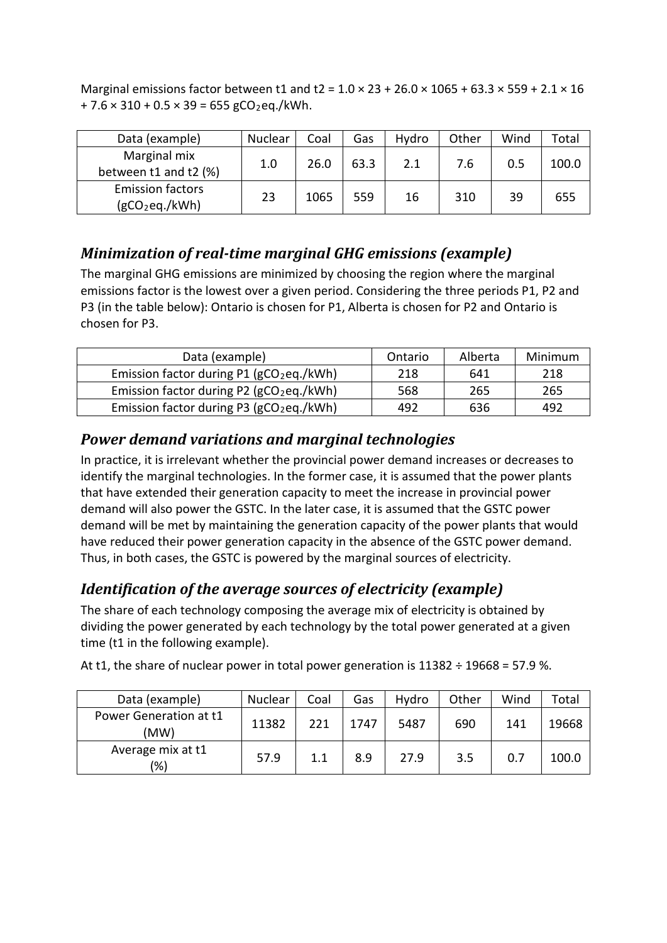Marginal emissions factor between t1 and t2 =  $1.0 \times 23 + 26.0 \times 1065 + 63.3 \times 559 + 2.1 \times 16$  $+ 7.6 \times 310 + 0.5 \times 39 = 655$  gCO<sub>2</sub>eq./kWh.

| Data (example)                                        | Nuclear | Coal | Gas  | Hydro | Other | Wind | Total |
|-------------------------------------------------------|---------|------|------|-------|-------|------|-------|
| Marginal mix<br>between t1 and t2 (%)                 | 1.0     | 26.0 | 63.3 | 2.1   | 7.6   | 0.5  | 100.0 |
| <b>Emission factors</b><br>(gCO <sub>2</sub> eq./kWh) | 23      | 1065 | 559  | 16    | 310   | 39   | 655   |

#### *Minimization of real-time marginal GHG emissions (example)*

The marginal GHG emissions are minimized by choosing the region where the marginal emissions factor is the lowest over a given period. Considering the three periods P1, P2 and P3 (in the table below): Ontario is chosen for P1, Alberta is chosen for P2 and Ontario is chosen for P3.

| Data (example)                                         | Ontario | Alberta | Minimum |
|--------------------------------------------------------|---------|---------|---------|
| Emission factor during $P1$ (gCO <sub>2</sub> eq./kWh) | 218     | 641     | 218     |
| Emission factor during P2 ( $gCO2$ eq./kWh)            | 568     | 265     | 265     |
| Emission factor during P3 ( $gCO2$ eq./kWh)            | 492     | 636     | 492     |

#### *Power demand variations and marginal technologies*

In practice, it is irrelevant whether the provincial power demand increases or decreases to identify the marginal technologies. In the former case, it is assumed that the power plants that have extended their generation capacity to meet the increase in provincial power demand will also power the GSTC. In the later case, it is assumed that the GSTC power demand will be met by maintaining the generation capacity of the power plants that would have reduced their power generation capacity in the absence of the GSTC power demand. Thus, in both cases, the GSTC is powered by the marginal sources of electricity.

## *Identification of the average sources of electricity (example)*

The share of each technology composing the average mix of electricity is obtained by dividing the power generated by each technology by the total power generated at a given time (t1 in the following example).

| Data (example)                 | Nuclear | Coal | Gas  | Hydro | Other | Wind | Total |
|--------------------------------|---------|------|------|-------|-------|------|-------|
| Power Generation at t1<br>(MW) | 11382   | 221  | 1747 | 5487  | 690   | 141  | 19668 |
| Average mix at t1<br>(%)       | 57.9    | 1.1  | 8.9  | 27.9  | 3.5   | 0.7  | 100.0 |

At t1, the share of nuclear power in total power generation is  $11382 \div 19668 = 57.9$  %.